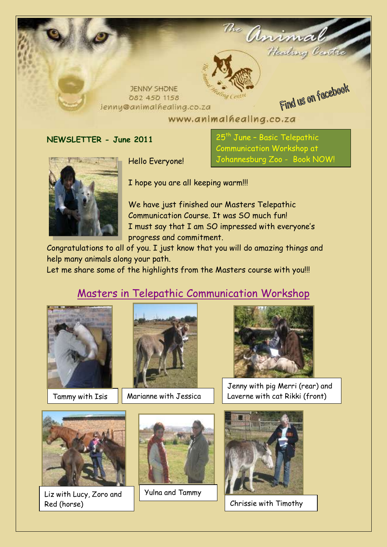

www.animalhealing.co.za

**NEWSLETTER - June 2011**

Hello Everyone!

25<sup>th</sup> June – Basic Telepathic Communication Workshop at Johannesburg Zoo - Book NOW!

I hope you are all keeping warm!!!

We have just finished our Masters Telepathic Communication Course. It was SO much fun! I must say that I am SO impressed with everyone's progress and commitment.

Congratulations to all of you. I just know that you will do amazing things and help many animals along your path.

Let me share some of the highlights from the Masters course with you!!!

# Masters in Telepathic Communication Workshop





Tammy with Isis  $\|\cdot\|$  Marianne with Jessica



Jenny with pig Merri (rear) and Laverne with cat Rikki (front)



Liz with Lucy, Zoro and Red (horse)



Yulna and Tammy



Chrissie with Timothy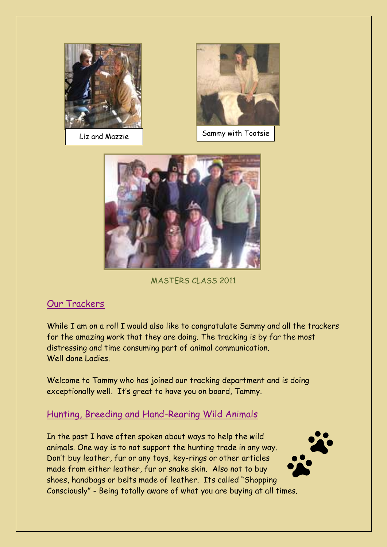



Liz and Mazzie Sammy with Tootsie



MASTERS CLASS 2011

### Our Trackers

While I am on a roll I would also like to congratulate Sammy and all the trackers for the amazing work that they are doing. The tracking is by far the most distressing and time consuming part of animal communication. Well done Ladies.

Welcome to Tammy who has joined our tracking department and is doing exceptionally well. It's great to have you on board, Tammy.

### Hunting, Breeding and Hand-Rearing Wild Animals

In the past I have often spoken about ways to help the wild animals. One way is to not support the hunting trade in any way. Don't buy leather, fur or any toys, key-rings or other articles made from either leather, fur or snake skin. Also not to buy shoes, handbags or belts made of leather. Its called "Shopping Consciously" - Being totally aware of what you are buying at all times.

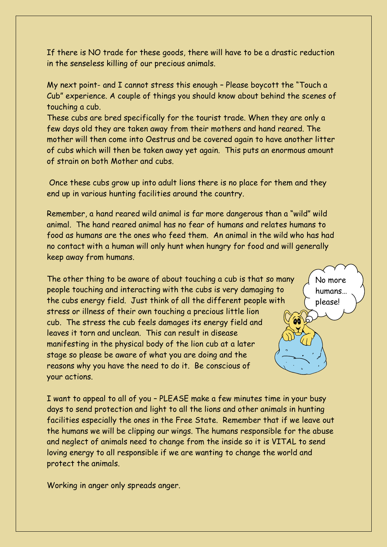If there is NO trade for these goods, there will have to be a drastic reduction in the senseless killing of our precious animals.

My next point- and I cannot stress this enough – Please boycott the "Touch a Cub" experience. A couple of things you should know about behind the scenes of touching a cub.

These cubs are bred specifically for the tourist trade. When they are only a few days old they are taken away from their mothers and hand reared. The mother will then come into Oestrus and be covered again to have another litter of cubs which will then be taken away yet again. This puts an enormous amount of strain on both Mother and cubs.

Once these cubs grow up into adult lions there is no place for them and they end up in various hunting facilities around the country.

Remember, a hand reared wild animal is far more dangerous than a "wild" wild animal. The hand reared animal has no fear of humans and relates humans to food as humans are the ones who feed them. An animal in the wild who has had no contact with a human will only hunt when hungry for food and will generally keep away from humans.

The other thing to be aware of about touching a cub is that so many people touching and interacting with the cubs is very damaging to the cubs energy field. Just think of all the different people with stress or illness of their own touching a precious little lion cub. The stress the cub feels damages its energy field and leaves it torn and unclean. This can result in disease manifesting in the physical body of the lion cub at a later stage so please be aware of what you are doing and the reasons why you have the need to do it. Be conscious of your actions.

No more humans… please!

 $606$ 

I want to appeal to all of you – PLEASE make a few minutes time in your busy days to send protection and light to all the lions and other animals in hunting facilities especially the ones in the Free State. Remember that if we leave out the humans we will be clipping our wings. The humans responsible for the abuse and neglect of animals need to change from the inside so it is VITAL to send loving energy to all responsible if we are wanting to change the world and protect the animals.

Working in anger only spreads anger.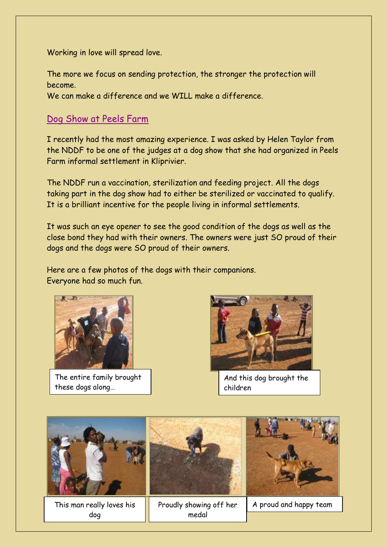Working in love will spread love.

The more we focus on sending protection, the stronger the protection will become.

We can make a difference and we WILL make a difference.

#### Dog Show at Peels Farm

I recently had the most amazing experience. I was asked by Helen Taylor from the NDDF to be one of the judges at a dog show that she had organized in Peels Farm informal settlement in Kliprivier.

The NDDF run a vaccination, sterilization and feeding project. All the dogs taking part in the dog show had to either be sterilized or vaccinated to qualify. It is a brilliant incentive for the people living in informal settlements.

It was such an eye opener to see the good condition of the dogs as well as the close bond they had with their owners. The owners were just SO proud of their dogs and the dogs were SO proud of their owners.

Here are a few photos of the dogs with their companions. Everyone had so much fun.



The entire family brought these dogs along…



And this dog brought the children

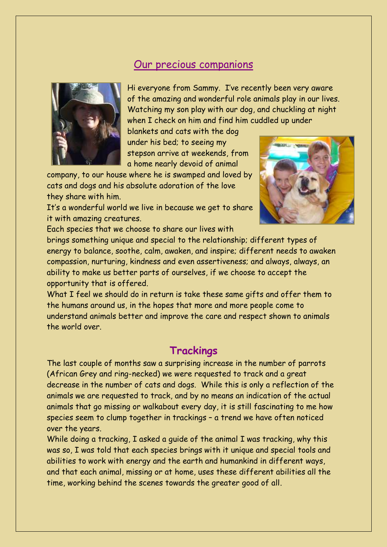## Our precious companions



Hi everyone from Sammy. I've recently been very aware of the amazing and wonderful role animals play in our lives. Watching my son play with our dog, and chuckling at night when I check on him and find him cuddled up under

blankets and cats with the dog under his bed; to seeing my stepson arrive at weekends, from a home nearly devoid of animal

company, to our house where he is swamped and loved by cats and dogs and his absolute adoration of the love they share with him.

It's a wonderful world we live in because we get to share it with amazing creatures.



Each species that we choose to share our lives with

brings something unique and special to the relationship; different types of energy to balance, soothe, calm, awaken, and inspire; different needs to awaken compassion, nurturing, kindness and even assertiveness; and always, always, an ability to make us better parts of ourselves, if we choose to accept the opportunity that is offered.

What I feel we should do in return is take these same gifts and offer them to the humans around us, in the hopes that more and more people come to understand animals better and improve the care and respect shown to animals the world over.

# **Trackings**

The last couple of months saw a surprising increase in the number of parrots (African Grey and ring-necked) we were requested to track and a great decrease in the number of cats and dogs. While this is only a reflection of the animals we are requested to track, and by no means an indication of the actual animals that go missing or walkabout every day, it is still fascinating to me how species seem to clump together in trackings – a trend we have often noticed over the years.

While doing a tracking, I asked a guide of the animal I was tracking, why this was so, I was told that each species brings with it unique and special tools and abilities to work with energy and the earth and humankind in different ways, and that each animal, missing or at home, uses these different abilities all the time, working behind the scenes towards the greater good of all.